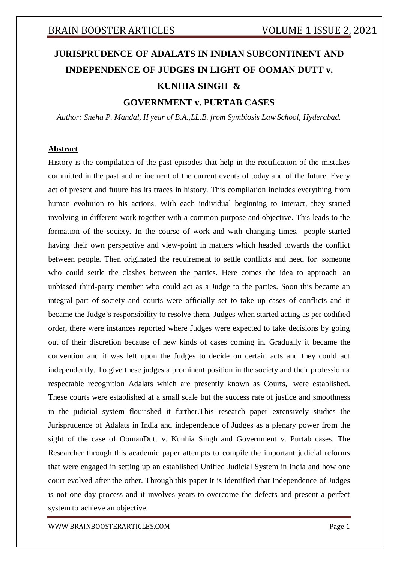# **JURISPRUDENCE OF ADALATS IN INDIAN SUBCONTINENT AND INDEPENDENCE OF JUDGES IN LIGHT OF OOMAN DUTT v. KUNHIA SINGH & GOVERNMENT v. PURTAB CASES**

*Author: Sneha P. Mandal, II year of B.A.,LL.B. from Symbiosis Law School, Hyderabad.*

### **Abstract**

History is the compilation of the past episodes that help in the rectification of the mistakes committed in the past and refinement of the current events of today and of the future. Every act of present and future has its traces in history. This compilation includes everything from human evolution to his actions. With each individual beginning to interact, they started involving in different work together with a common purpose and objective. This leads to the formation of the society. In the course of work and with changing times, people started having their own perspective and view-point in matters which headed towards the conflict between people. Then originated the requirement to settle conflicts and need for someone who could settle the clashes between the parties. Here comes the idea to approach an unbiased third-party member who could act as a Judge to the parties. Soon this became an integral part of society and courts were officially set to take up cases of conflicts and it became the Judge's responsibility to resolve them. Judges when started acting as per codified order, there were instances reported where Judges were expected to take decisions by going out of their discretion because of new kinds of cases coming in. Gradually it became the convention and it was left upon the Judges to decide on certain acts and they could act independently. To give these judges a prominent position in the society and their profession a respectable recognition Adalats which are presently known as Courts, were established. These courts were established at a small scale but the success rate of justice and smoothness in the judicial system flourished it further.This research paper extensively studies the Jurisprudence of Adalats in India and independence of Judges as a plenary power from the sight of the case of OomanDutt v. Kunhia Singh and Government v. Purtab cases. The Researcher through this academic paper attempts to compile the important judicial reforms that were engaged in setting up an established Unified Judicial System in India and how one court evolved after the other. Through this paper it is identified that Independence of Judges is not one day process and it involves years to overcome the defects and present a perfect system to achieve an objective.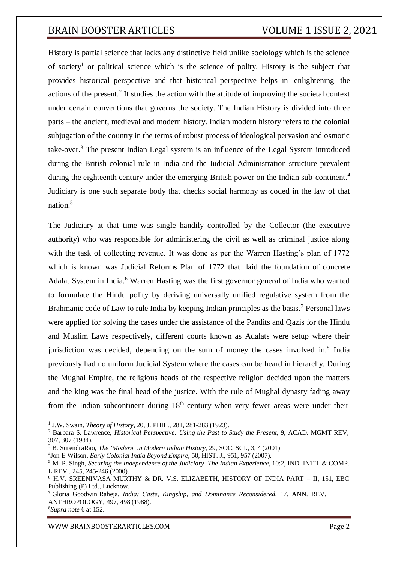History is partial science that lacks any distinctive field unlike sociology which is the science of society<sup>1</sup> or political science which is the science of polity. History is the subject that provides historical perspective and that historical perspective helps in enlightening the actions of the present.<sup>2</sup> It studies the action with the attitude of improving the societal context under certain conventions that governs the society. The Indian History is divided into three parts – the ancient, medieval and modern history. Indian modern history refers to the colonial subjugation of the country in the terms of robust process of ideological pervasion and osmotic take-over.<sup>3</sup> The present Indian Legal system is an influence of the Legal System introduced during the British colonial rule in India and the Judicial Administration structure prevalent during the eighteenth century under the emerging British power on the Indian sub-continent.<sup>4</sup> Judiciary is one such separate body that checks social harmony as coded in the law of that nation.<sup>5</sup>

The Judiciary at that time was single handily controlled by the Collector (the executive authority) who was responsible for administering the civil as well as criminal justice along with the task of collecting revenue. It was done as per the Warren Hasting's plan of 1772 which is known was Judicial Reforms Plan of 1772 that laid the foundation of concrete Adalat System in India.<sup>6</sup> Warren Hasting was the first governor general of India who wanted to formulate the Hindu polity by deriving universally unified regulative system from the Brahmanic code of Law to rule India by keeping Indian principles as the basis.<sup>7</sup> Personal laws were applied for solving the cases under the assistance of the Pandits and Qazis for the Hindu and Muslim Laws respectively, different courts known as Adalats were setup where their jurisdiction was decided, depending on the sum of money the cases involved in.<sup>8</sup> India previously had no uniform Judicial System where the cases can be heard in hierarchy. During the Mughal Empire, the religious heads of the respective religion decided upon the matters and the king was the final head of the justice. With the rule of Mughal dynasty fading away from the Indian subcontinent during  $18<sup>th</sup>$  century when very fewer areas were under their

<sup>1</sup> J.W. Swain, *Theory of History*, 20, J. PHIL., 281, 281-283 (1923).

<sup>2</sup> Barbara S. Lawrence, *Historical Perspective: Using the Past to Study the Present*, 9, ACAD. MGMT REV, 307, 307 (1984).

<sup>3</sup> B. SurendraRao, *The 'Modern' in Modern Indian History*, 29, SOC. SCI., 3, 4 (2001).

<sup>4</sup> Jon E Wilson*, Early Colonial India Beyond Empire*, 50, HIST. J., 951, 957 (2007).

<sup>5</sup> M. P. Singh, *Securing the Independence of the Judiciary- The Indian Experience*, 10:2, IND. INT'L & COMP. L.REV., 245, 245-246 (2000).

<sup>6</sup> H.V. SREENIVASA MURTHY & DR. V.S. ELIZABETH, HISTORY OF INDIA PART – II, 151, EBC Publishing (P) Ltd., Lucknow.

<sup>7</sup> Gloria Goodwin Raheja, *India: Caste, Kingship, and Dominance Reconsidered*, 17, ANN. REV. ANTHROPOLOGY, 497, 498 (1988).

<sup>8</sup>*Supra note* 6 at 152.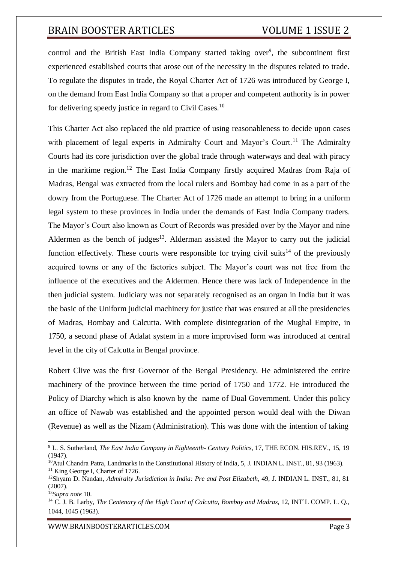control and the British East India Company started taking over<sup>9</sup>, the subcontinent first experienced established courts that arose out of the necessity in the disputes related to trade. To regulate the disputes in trade, the Royal Charter Act of 1726 was introduced by George I, on the demand from East India Company so that a proper and competent authority is in power for delivering speedy justice in regard to Civil Cases.<sup>10</sup>

This Charter Act also replaced the old practice of using reasonableness to decide upon cases with placement of legal experts in Admiralty Court and Mayor's Court.<sup>11</sup> The Admiralty Courts had its core jurisdiction over the global trade through waterways and deal with piracy in the maritime region.<sup>12</sup> The East India Company firstly acquired Madras from Raja of Madras, Bengal was extracted from the local rulers and Bombay had come in as a part of the dowry from the Portuguese. The Charter Act of 1726 made an attempt to bring in a uniform legal system to these provinces in India under the demands of East India Company traders. The Mayor's Court also known as Court of Records was presided over by the Mayor and nine Aldermen as the bench of judges<sup>13</sup>. Alderman assisted the Mayor to carry out the judicial function effectively. These courts were responsible for trying civil suits<sup>14</sup> of the previously acquired towns or any of the factories subject. The Mayor's court was not free from the influence of the executives and the Aldermen. Hence there was lack of Independence in the then judicial system. Judiciary was not separately recognised as an organ in India but it was the basic of the Uniform judicial machinery for justice that was ensured at all the presidencies of Madras, Bombay and Calcutta. With complete disintegration of the Mughal Empire, in 1750, a second phase of Adalat system in a more improvised form was introduced at central level in the city of Calcutta in Bengal province.

Robert Clive was the first Governor of the Bengal Presidency. He administered the entire machinery of the province between the time period of 1750 and 1772. He introduced the Policy of Diarchy which is also known by the name of Dual Government. Under this policy an office of Nawab was established and the appointed person would deal with the Diwan (Revenue) as well as the Nizam (Administration). This was done with the intention of taking

<sup>9</sup> L. S. Sutherland, *The East India Company in Eighteenth- Century Politics*, 17, THE ECON. HIS.REV., 15, 19 (1947).

<sup>&</sup>lt;sup>10</sup>Atul Chandra Patra, Landmarks in the Constitutional History of India, 5, J. INDIAN L. INST., 81, 93 (1963). <sup>11</sup> King George I, Charter of 1726.

<sup>12</sup>Shyam D. Nandan, *Admiralty Jurisdiction in India: Pre and Post Elizabeth*, 49, J. INDIAN L. INST., 81, 81 (2007).

<sup>13</sup>*Supra note* 10.

<sup>1044,</sup> 1045 (1963). <sup>14</sup> C. J. B. Larby, *The Centenary of the High Court of Calcutta, Bombay and Madras*, 12, INT'L COMP. L. Q.,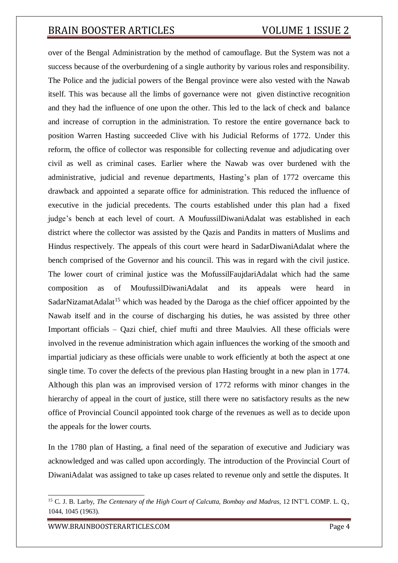over of the Bengal Administration by the method of camouflage. But the System was not a success because of the overburdening of a single authority by various roles and responsibility. The Police and the judicial powers of the Bengal province were also vested with the Nawab itself. This was because all the limbs of governance were not given distinctive recognition and they had the influence of one upon the other. This led to the lack of check and balance and increase of corruption in the administration. To restore the entire governance back to position Warren Hasting succeeded Clive with his Judicial Reforms of 1772. Under this reform, the office of collector was responsible for collecting revenue and adjudicating over civil as well as criminal cases. Earlier where the Nawab was over burdened with the administrative, judicial and revenue departments, Hasting's plan of 1772 overcame this drawback and appointed a separate office for administration. This reduced the influence of executive in the judicial precedents. The courts established under this plan had a fixed judge's bench at each level of court. A MoufussilDiwaniAdalat was established in each district where the collector was assisted by the Qazis and Pandits in matters of Muslims and Hindus respectively. The appeals of this court were heard in SadarDiwaniAdalat where the bench comprised of the Governor and his council. This was in regard with the civil justice. The lower court of criminal justice was the MofussilFaujdariAdalat which had the same composition as of MoufussilDiwaniAdalat and its appeals were heard in SadarNizamatAdalat<sup>15</sup> which was headed by the Daroga as the chief officer appointed by the Nawab itself and in the course of discharging his duties, he was assisted by three other Important officials – Qazi chief, chief mufti and three Maulvies. All these officials were involved in the revenue administration which again influences the working of the smooth and impartial judiciary as these officials were unable to work efficiently at both the aspect at one single time. To cover the defects of the previous plan Hasting brought in a new plan in 1774. Although this plan was an improvised version of 1772 reforms with minor changes in the hierarchy of appeal in the court of justice, still there were no satisfactory results as the new office of Provincial Council appointed took charge of the revenues as well as to decide upon the appeals for the lower courts.

In the 1780 plan of Hasting, a final need of the separation of executive and Judiciary was acknowledged and was called upon accordingly. The introduction of the Provincial Court of DiwaniAdalat was assigned to take up cases related to revenue only and settle the disputes. It

<sup>1044,</sup> 1045 (1963). <sup>15</sup> C. J. B. Larby, *The Centenary of the High Court of Calcutta, Bombay and Madras*, 12 INT'L COMP. L. Q.,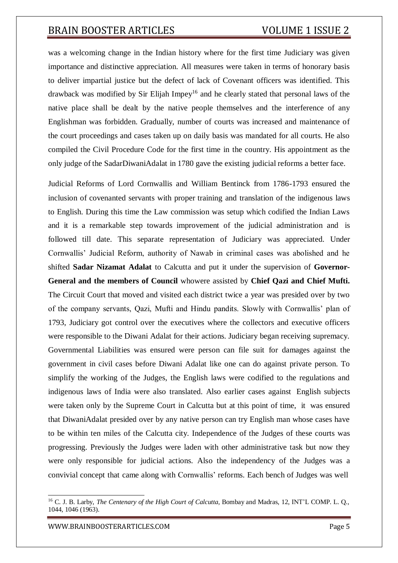was a welcoming change in the Indian history where for the first time Judiciary was given importance and distinctive appreciation. All measures were taken in terms of honorary basis to deliver impartial justice but the defect of lack of Covenant officers was identified. This drawback was modified by Sir Elijah Impey<sup>16</sup> and he clearly stated that personal laws of the native place shall be dealt by the native people themselves and the interference of any Englishman was forbidden. Gradually, number of courts was increased and maintenance of the court proceedings and cases taken up on daily basis was mandated for all courts. He also compiled the Civil Procedure Code for the first time in the country. His appointment as the only judge of the SadarDiwaniAdalat in 1780 gave the existing judicial reforms a better face.

Judicial Reforms of Lord Cornwallis and William Bentinck from 1786-1793 ensured the inclusion of covenanted servants with proper training and translation of the indigenous laws to English. During this time the Law commission was setup which codified the Indian Laws and it is a remarkable step towards improvement of the judicial administration and is followed till date. This separate representation of Judiciary was appreciated. Under Cornwallis' Judicial Reform, authority of Nawab in criminal cases was abolished and he shifted **Sadar Nizamat Adalat** to Calcutta and put it under the supervision of **Governor-General and the members of Council** whowere assisted by **Chief Qazi and Chief Mufti.** The Circuit Court that moved and visited each district twice a year was presided over by two of the company servants, Qazi, Mufti and Hindu pandits. Slowly with Cornwallis' plan of 1793, Judiciary got control over the executives where the collectors and executive officers were responsible to the Diwani Adalat for their actions. Judiciary began receiving supremacy. Governmental Liabilities was ensured were person can file suit for damages against the government in civil cases before Diwani Adalat like one can do against private person. To simplify the working of the Judges, the English laws were codified to the regulations and indigenous laws of India were also translated. Also earlier cases against English subjects were taken only by the Supreme Court in Calcutta but at this point of time, it was ensured that DiwaniAdalat presided over by any native person can try English man whose cases have to be within ten miles of the Calcutta city. Independence of the Judges of these courts was progressing. Previously the Judges were laden with other administrative task but now they were only responsible for judicial actions. Also the independency of the Judges was a convivial concept that came along with Cornwallis' reforms. Each bench of Judges was well

<sup>16</sup> C. J. B. Larby, *The Centenary of the High Court of Calcutta*, Bombay and Madras, 12, INT'L COMP. L. Q., 1044, 1046 (1963).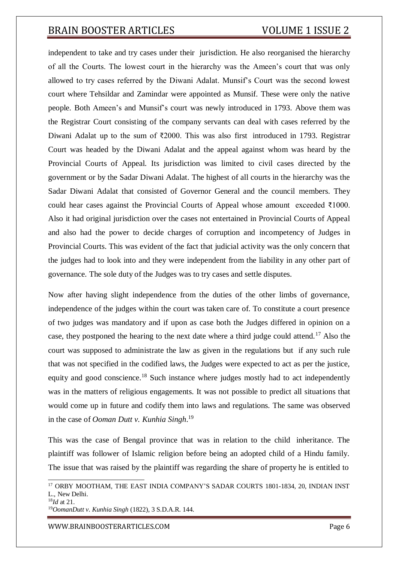independent to take and try cases under their jurisdiction. He also reorganised the hierarchy of all the Courts. The lowest court in the hierarchy was the Ameen's court that was only allowed to try cases referred by the Diwani Adalat. Munsif's Court was the second lowest court where Tehsildar and Zamindar were appointed as Munsif. These were only the native people. Both Ameen's and Munsif's court was newly introduced in 1793. Above them was the Registrar Court consisting of the company servants can deal with cases referred by the Diwani Adalat up to the sum of ₹2000. This was also first introduced in 1793. Registrar Court was headed by the Diwani Adalat and the appeal against whom was heard by the Provincial Courts of Appeal. Its jurisdiction was limited to civil cases directed by the government or by the Sadar Diwani Adalat. The highest of all courts in the hierarchy was the Sadar Diwani Adalat that consisted of Governor General and the council members. They could hear cases against the Provincial Courts of Appeal whose amount exceeded ₹1000. Also it had original jurisdiction over the cases not entertained in Provincial Courts of Appeal and also had the power to decide charges of corruption and incompetency of Judges in Provincial Courts. This was evident of the fact that judicial activity was the only concern that the judges had to look into and they were independent from the liability in any other part of governance. The sole duty of the Judges was to try cases and settle disputes.

Now after having slight independence from the duties of the other limbs of governance, independence of the judges within the court was taken care of. To constitute a court presence of two judges was mandatory and if upon as case both the Judges differed in opinion on a case, they postponed the hearing to the next date where a third judge could attend.<sup>17</sup> Also the court was supposed to administrate the law as given in the regulations but if any such rule that was not specified in the codified laws, the Judges were expected to act as per the justice, equity and good conscience.<sup>18</sup> Such instance where judges mostly had to act independently was in the matters of religious engagements. It was not possible to predict all situations that would come up in future and codify them into laws and regulations. The same was observed in the case of *Ooman Dutt v. Kunhia Singh*. 19

This was the case of Bengal province that was in relation to the child inheritance. The plaintiff was follower of Islamic religion before being an adopted child of a Hindu family. The issue that was raised by the plaintiff was regarding the share of property he is entitled to

<sup>19</sup>*OomanDutt v. Kunhia Singh* (1822), 3 S.D.A.R. 144.

<sup>&</sup>lt;sup>17</sup> ORBY MOOTHAM, THE EAST INDIA COMPANY'S SADAR COURTS 1801-1834, 20, INDIAN INST L., New Delhi.

<sup>18</sup>*Id* at 21.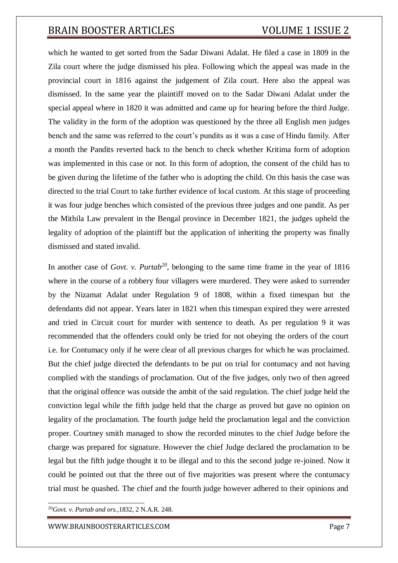which he wanted to get sorted from the Sadar Diwani Adalat. He filed a case in 1809 in the Zila court where the judge dismissed his plea. Following which the appeal was made in the provincial court in 1816 against the judgement of Zila court. Here also the appeal was dismissed. In the same year the plaintiff moved on to the Sadar Diwani Adalat under the special appeal where in 1820 it was admitted and came up for hearing before the third Judge. The validity in the form of the adoption was questioned by the three all English men judges bench and the same was referred to the court's pundits as it was a case of Hindu family. After a month the Pandits reverted back to the bench to check whether Kritima form of adoption was implemented in this case or not. In this form of adoption, the consent of the child has to be given during the lifetime of the father who is adopting the child. On this basis the case was directed to the trial Court to take further evidence of local custom. At this stage of proceeding it was four judge benches which consisted of the previous three judges and one pandit. As per the Mithila Law prevalent in the Bengal province in December 1821, the judges upheld the legality of adoption of the plaintiff but the application of inheriting the property was finally dismissed and stated invalid.

In another case of *Govt. v. Purtab<sup>20</sup>*, belonging to the same time frame in the year of 1816 where in the course of a robbery four villagers were murdered. They were asked to surrender by the Nizamat Adalat under Regulation 9 of 1808, within a fixed timespan but the defendants did not appear. Years later in 1821 when this timespan expired they were arrested and tried in Circuit court for murder with sentence to death. As per regulation 9 it was recommended that the offenders could only be tried for not obeying the orders of the court i.e. for Contumacy only if he were clear of all previous charges for which he was proclaimed. But the chief judge directed the defendants to be put on trial for contumacy and not having complied with the standings of proclamation. Out of the five judges, only two of then agreed that the original offence was outside the ambit of the said regulation. The chief judge held the conviction legal while the fifth judge held that the charge as proved but gave no opinion on legality of the proclamation. The fourth judge held the proclamation legal and the conviction proper. Courtney smith managed to show the recorded minutes to the chief Judge before the charge was prepared for signature. However the chief Judge declared the proclamation to be legal but the fifth judge thought it to be illegal and to this the second judge re-joined. Now it could be pointed out that the three out of five majorities was present where the contumacy trial must be quashed. The chief and the fourth judge however adhered to their opinions and

<sup>20</sup>*Govt. v. Purtab and ors.,*1832, 2 N.A.R. 248.